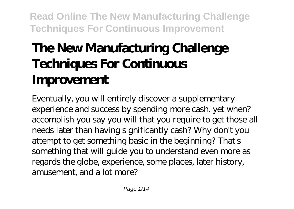# **The New Manufacturing Challenge Techniques For Continuous Improvement**

Eventually, you will entirely discover a supplementary experience and success by spending more cash. yet when? accomplish you say you will that you require to get those all needs later than having significantly cash? Why don't you attempt to get something basic in the beginning? That's something that will guide you to understand even more as regards the globe, experience, some places, later history, amusement, and a lot more?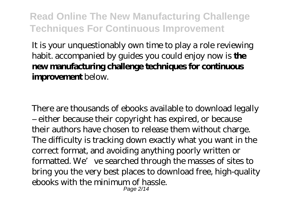It is your unquestionably own time to play a role reviewing habit. accompanied by guides you could enjoy now is **the new manufacturing challenge techniques for continuous improvement** below.

There are thousands of ebooks available to download legally – either because their copyright has expired, or because their authors have chosen to release them without charge. The difficulty is tracking down exactly what you want in the correct format, and avoiding anything poorly written or formatted. We've searched through the masses of sites to bring you the very best places to download free, high-quality ebooks with the minimum of hassle. Page  $2/14$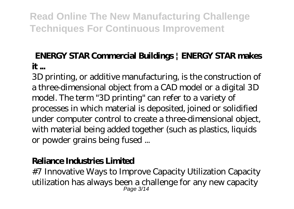#### **ENERGY STAR Commercial Buildings | ENERGY STAR makes it ...**

3D printing, or additive manufacturing, is the construction of a three-dimensional object from a CAD model or a digital 3D model. The term "3D printing" can refer to a variety of processes in which material is deposited, joined or solidified under computer control to create a three-dimensional object, with material being added together (such as plastics, liquids or powder grains being fused ...

#### **Reliance Industries Limited**

#7 Innovative Ways to Improve Capacity Utilization Capacity utilization has always been a challenge for any new capacity Page 3/14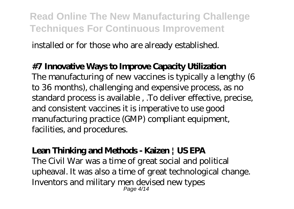installed or for those who are already established.

#### **#7 Innovative Ways to Improve Capacity Utilization**

The manufacturing of new vaccines is typically a lengthy (6 to 36 months), challenging and expensive process, as no standard process is available , .To deliver effective, precise, and consistent vaccines it is imperative to use good manufacturing practice (GMP) compliant equipment, facilities, and procedures.

#### **Lean Thinking and Methods - Kaizen | US EPA**

The Civil War was a time of great social and political upheaval. It was also a time of great technological change. Inventors and military men devised new types Page 4/14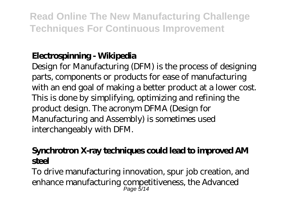## **Electrospinning - Wikipedia**

Design for Manufacturing (DFM) is the process of designing parts, components or products for ease of manufacturing with an end goal of making a better product at a lower cost. This is done by simplifying, optimizing and refining the product design. The acronym DFMA (Design for Manufacturing and Assembly) is sometimes used interchangeably with DFM.

#### **Synchrotron X-ray techniques could lead to improved AM steel**

To drive manufacturing innovation, spur job creation, and enhance manufacturing competitiveness, the Advanced Page 5/14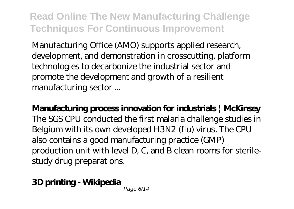Manufacturing Office (AMO) supports applied research, development, and demonstration in crosscutting, platform technologies to decarbonize the industrial sector and promote the development and growth of a resilient manufacturing sector ...

**Manufacturing process innovation for industrials | McKinsey** The SGS CPU conducted the first malaria challenge studies in Belgium with its own developed H3N2 (flu) virus. The CPU also contains a good manufacturing practice (GMP) production unit with level D, C, and B clean rooms for sterilestudy drug preparations.

#### **3D printing - Wikipedia**

Page 6/14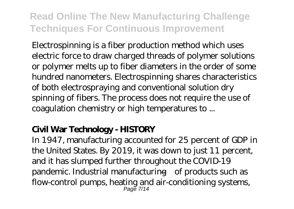Electrospinning is a fiber production method which uses electric force to draw charged threads of polymer solutions or polymer melts up to fiber diameters in the order of some hundred nanometers. Electrospinning shares characteristics of both electrospraying and conventional solution dry spinning of fibers. The process does not require the use of coagulation chemistry or high temperatures to ...

#### **Civil War Technology - HISTORY**

In 1947, manufacturing accounted for 25 percent of GDP in the United States. By 2019, it was down to just 11 percent, and it has slumped further throughout the COVID-19 pandemic. Industrial manufacturing—of products such as flow-control pumps, heating and air-conditioning systems, Page 7/14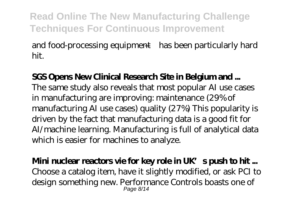and food-processing equipment—has been particularly hard hit.

**SGS Opens New Clinical Research Site in Belgium and ...** The same study also reveals that most popular AI use cases in manufacturing are improving: maintenance (29% of manufacturing AI use cases) quality (27%) This popularity is driven by the fact that manufacturing data is a good fit for AI/machine learning. Manufacturing is full of analytical data which is easier for machines to analyze.

#### **Mini nuclear reactors vie for key role in UK's push to hit ...**

Choose a catalog item, have it slightly modified, or ask PCI to design something new. Performance Controls boasts one of Page 8/14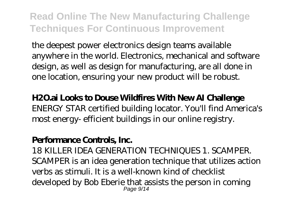the deepest power electronics design teams available anywhere in the world. Electronics, mechanical and software design, as well as design for manufacturing, are all done in one location, ensuring your new product will be robust.

#### **H2O.ai Looks to Douse Wildfires With New AI Challenge**

ENERGY STAR certified building locator. You'll find America's most energy- efficient buildings in our online registry.

#### **Performance Controls, Inc.**

18 KILLER IDEA GENERATION TECHNIQUES 1. SCAMPER. SCAMPER is an idea generation technique that utilizes action verbs as stimuli. It is a well-known kind of checklist developed by Bob Eberie that assists the person in coming Page 9/14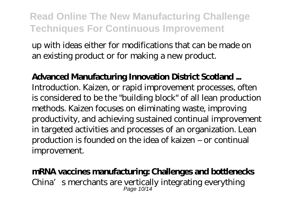up with ideas either for modifications that can be made on an existing product or for making a new product.

**Advanced Manufacturing Innovation District Scotland ...** Introduction. Kaizen, or rapid improvement processes, often is considered to be the "building block" of all lean production methods. Kaizen focuses on eliminating waste, improving productivity, and achieving sustained continual improvement in targeted activities and processes of an organization. Lean production is founded on the idea of kaizen – or continual improvement.

## **mRNA vaccines manufacturing: Challenges and bottlenecks**

China's merchants are vertically integrating everything Page 10/14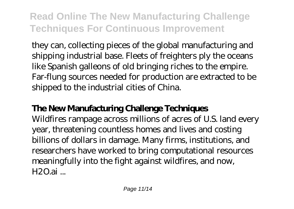they can, collecting pieces of the global manufacturing and shipping industrial base. Fleets of freighters ply the oceans like Spanish galleons of old bringing riches to the empire. Far-flung sources needed for production are extracted to be shipped to the industrial cities of China.

## **The New Manufacturing Challenge Techniques**

Wildfires rampage across millions of acres of U.S. land every year, threatening countless homes and lives and costing billions of dollars in damage. Many firms, institutions, and researchers have worked to bring computational resources meaningfully into the fight against wildfires, and now,  $H2O.ai$ ...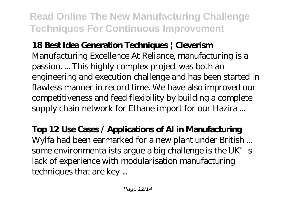## **18 Best Idea Generation Techniques | Cleverism**

Manufacturing Excellence At Reliance, manufacturing is a passion. ... This highly complex project was both an engineering and execution challenge and has been started in flawless manner in record time. We have also improved our competitiveness and feed flexibility by building a complete supply chain network for Ethane import for our Hazira ...

#### **Top 12 Use Cases / Applications of AI in Manufacturing** Wylfa had been earmarked for a new plant under British ... some environmentalists argue a big challenge is the UK's

lack of experience with modularisation manufacturing techniques that are key ...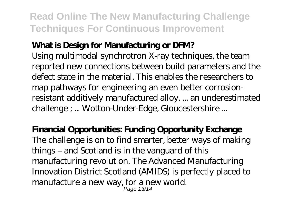#### **What is Design for Manufacturing or DFM?**

Using multimodal synchrotron X-ray techniques, the team reported new connections between build parameters and the defect state in the material. This enables the researchers to map pathways for engineering an even better corrosionresistant additively manufactured alloy. ... an underestimated challenge ; ... Wotton-Under-Edge, Gloucestershire ...

#### **Financial Opportunities: Funding Opportunity Exchange**

The challenge is on to find smarter, better ways of making things – and Scotland is in the vanguard of this manufacturing revolution. The Advanced Manufacturing Innovation District Scotland (AMIDS) is perfectly placed to manufacture a new way, for a new world. Page 13/14